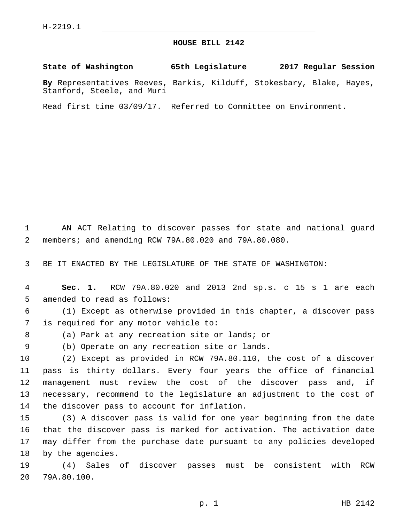## **HOUSE BILL 2142**

**State of Washington 65th Legislature 2017 Regular Session**

**By** Representatives Reeves, Barkis, Kilduff, Stokesbary, Blake, Hayes, Stanford, Steele, and Muri

Read first time 03/09/17. Referred to Committee on Environment.

1 AN ACT Relating to discover passes for state and national guard 2 members; and amending RCW 79A.80.020 and 79A.80.080.

3 BE IT ENACTED BY THE LEGISLATURE OF THE STATE OF WASHINGTON:

4 **Sec. 1.** RCW 79A.80.020 and 2013 2nd sp.s. c 15 s 1 are each 5 amended to read as follows:

6 (1) Except as otherwise provided in this chapter, a discover pass 7 is required for any motor vehicle to:

8 (a) Park at any recreation site or lands; or

9 (b) Operate on any recreation site or lands.

 (2) Except as provided in RCW 79A.80.110, the cost of a discover pass is thirty dollars. Every four years the office of financial management must review the cost of the discover pass and, if necessary, recommend to the legislature an adjustment to the cost of 14 the discover pass to account for inflation.

 (3) A discover pass is valid for one year beginning from the date that the discover pass is marked for activation. The activation date may differ from the purchase date pursuant to any policies developed 18 by the agencies.

19 (4) Sales of discover passes must be consistent with RCW 20 79A.80.100.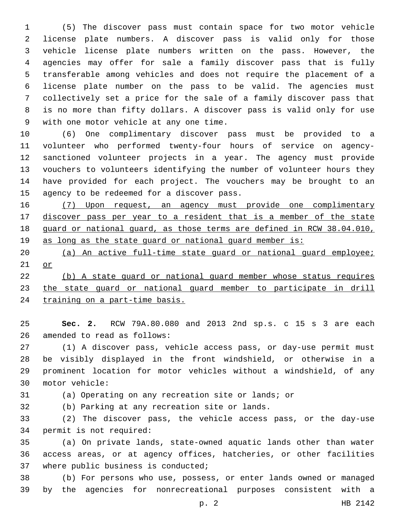(5) The discover pass must contain space for two motor vehicle license plate numbers. A discover pass is valid only for those vehicle license plate numbers written on the pass. However, the agencies may offer for sale a family discover pass that is fully transferable among vehicles and does not require the placement of a license plate number on the pass to be valid. The agencies must collectively set a price for the sale of a family discover pass that is no more than fifty dollars. A discover pass is valid only for use 9 with one motor vehicle at any one time.

 (6) One complimentary discover pass must be provided to a volunteer who performed twenty-four hours of service on agency- sanctioned volunteer projects in a year. The agency must provide vouchers to volunteers identifying the number of volunteer hours they have provided for each project. The vouchers may be brought to an 15 agency to be redeemed for a discover pass.

 (7) Upon request, an agency must provide one complimentary discover pass per year to a resident that is a member of the state guard or national guard, as those terms are defined in RCW 38.04.010, as long as the state guard or national guard member is:

 (a) An active full-time state guard or national guard employee; or

 (b) A state guard or national guard member whose status requires the state guard or national guard member to participate in drill training on a part-time basis.

 **Sec. 2.** RCW 79A.80.080 and 2013 2nd sp.s. c 15 s 3 are each 26 amended to read as follows:

 (1) A discover pass, vehicle access pass, or day-use permit must be visibly displayed in the front windshield, or otherwise in a prominent location for motor vehicles without a windshield, of any motor vehicle:30

(a) Operating on any recreation site or lands; or

(b) Parking at any recreation site or lands.32

 (2) The discover pass, the vehicle access pass, or the day-use 34 permit is not required:

 (a) On private lands, state-owned aquatic lands other than water access areas, or at agency offices, hatcheries, or other facilities 37 where public business is conducted;

 (b) For persons who use, possess, or enter lands owned or managed by the agencies for nonrecreational purposes consistent with a